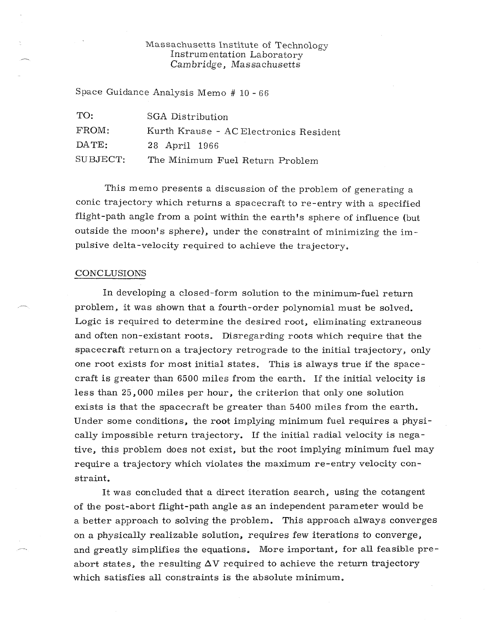## Massachusetts Institute of Technology Instrumentation Laboratory Cambridge, Massachusetts

Space Guidance Analysis Memo # 10 - 66

| TO:      | SGA Distribution                       |
|----------|----------------------------------------|
| FROM:    | Kurth Krause - AC Electronics Resident |
| DATE:    | 28 April 1966                          |
| SUBJECT: | The Minimum Fuel Return Problem        |

This memo presents a discussion of the problem of generating a conic trajectory which returns a spacecraft to re-entry with a specified flight-path angle from a point within the earth's sphere of influence (but outside the moon's sphere), under the constraint of minimizing the impulsive delta-velocity required to achieve the trajectory.

#### CONCLUSIONS

In developing a closed-form solution to the minimum-fuel return problem, it was shown that a fourth-order polynomial must be solved. Logic is required to determine the desired root, eliminating extraneous and often non-existant roots. Disregarding roots which require that the spacecraft return on a trajectory retrograde to the initial trajectory, only one root exists for most initial states. This is always true if the spacecraft is greater than 6500 miles from the earth. If the initial velocity is less than 25,000 miles per hour, the criterion that only one solution exists is that the spacecraft be greater than 5400 miles from the earth. Under some conditions, the root implying minimum fuel requires a physically impossible return trajectory. If the initial radial velocity is negative, this problem does not exist, but the root implying minimum fuel may require a trajectory which violates the maximum re-entry velocity constraint.

It was concluded that a direct iteration search, using the cotangent of the post-abort flight-path angle as an independent parameter would be a better approach to solving the problem. This approach always converges on a physically realizable solution, requires few iterations to converge, and greatly simplifies the equations. More important, for all feasible preabort states, the resulting  $\Delta V$  required to achieve the return trajectory which satisfies all constraints is the absolute minimum.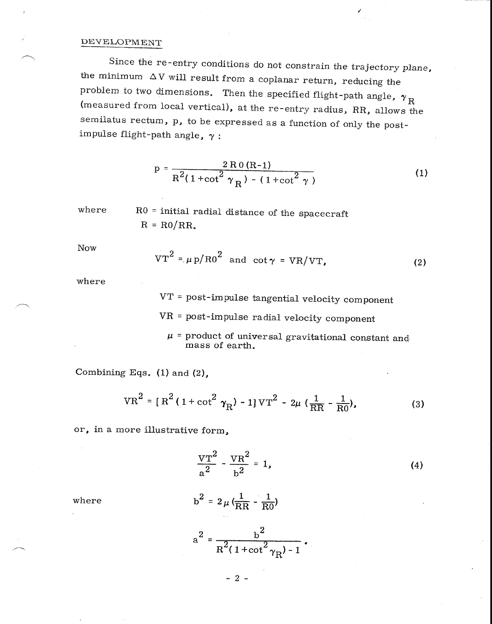### DEVELOPMENT

Since the re-entry conditions do not constrain the trajectory plane, the minimum  $\Delta V$  will result from a coplanar return, reducing the problem to two dimensions. Then the specified flight-path angle,  $\bm{\gamma}_{\text{R}}$  (measured from local vertical), at the re-entry radius, RR, allows the semilatus rectum, p, to be expressed as a function of only the postimpulse flight-path angle,  $\gamma$  :

$$
p = \frac{2 \text{ R0 (R-1)}}{R^2 (1 + \cot^2 \gamma_R) - (1 + \cot^2 \gamma)}
$$
 (1)

where RO = initial radial distance of the spacecraft  $R = R0/RR$ .

Now

$$
VT^{2} = \mu p/R0^{2} \text{ and } cot \gamma = VR/VT, \qquad (2)
$$

where

VT = post-impulse tangential velocity component VR = post-impulse radial velocity component  $\mu$  = product of universal gravitational constant and mass of earth,

Combining Eqs. (1) and (2),

$$
VR^2 = [R^2 (1 + \cot^2 \gamma_R) - 1] \text{VT}^2 - 2\mu (\frac{1}{RR} - \frac{1}{R0}),
$$
 (3)

or, in a more illustrative form,

$$
\frac{VT^2}{a^2} - \frac{VR^2}{b^2} = 1,
$$
 (4)

where

$$
b^2 = 2 \mu \left( \frac{1}{RR} - \frac{1}{R0} \right)
$$

$$
a^{2} = \frac{b^{2}}{R^{2}(1 + \cot^{2}\gamma_{R}) - 1}.
$$

- 2 -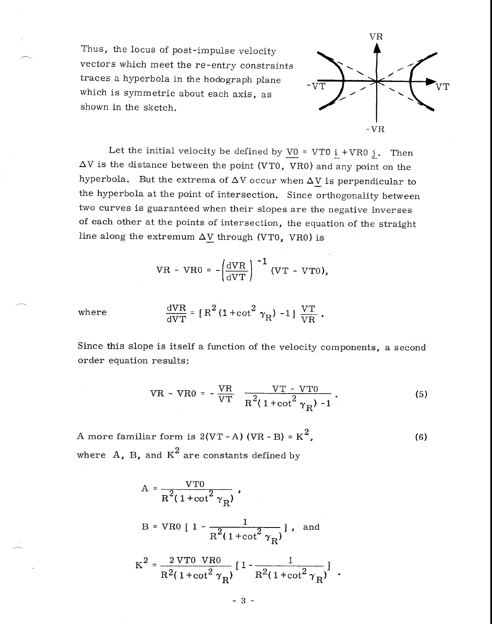Thus, the locus of post-impulse velocity vectors which meet the re-entry constraints traces a hyperbola in the hodograph plane which is symmetric about each axis, as shown in the sketch.



Let the initial velocity be defined by  $\underline{V0}$  = VT0  $\underline{i}$  + VR0  $\underline{j}$ . Then  $\Delta V$  is the distance between the point (VTO, VRO) and any point on the hyperbola. But the extrema of  $\Delta V$  occur when  $\Delta V$  is perpendicular to the hyperbola at the point of intersection. Since orthogonality between two curves is guaranteed when their slopes are the negative inverses of each other at the points of intersection, the equation of the straight line along the extremum  $\Delta V$  through (VT0, VR0) is

$$
VR - VR0 = -\left(\frac{dVR}{dVT}\right)^{-1} (VT - VT0),
$$

where

$$
\frac{\text{d} \text{V} \text{R}}{\text{d} \text{V} \text{T}} = [\text{R}^2 (1 + \cot^2 \gamma_{\text{R}}) - 1] \frac{\text{V} \text{T}}{\text{V} \text{R}}.
$$

Since this slope is itself a function of the velocity components, a second order equation results:

VR - VR0 = 
$$
-\frac{VR}{VT}
$$
  $\frac{VT - VTO}{R^2(1 + \cot^2 \gamma_R)^{-1}}$ . (5)

A more familiar form is 2(VT - A) (VR - B) =  $K^2$ , where  $A$ ,  $B$ , and  $K^2$  are constants defined by (6)

$$
A = \frac{VT0}{R^{2}(1 + \cot^{2} \gamma_{R})},
$$
  
\n
$$
B = VR0 [1 - \frac{1}{R^{2}(1 + \cot^{2} \gamma_{R})}],
$$
 and  
\n
$$
K^{2} = \frac{2 VT0 VR0}{R^{2}(1 + \cot^{2} \gamma_{R})} [1 - \frac{1}{R^{2}(1 + \cot^{2} \gamma_{R})}],
$$

- 3 -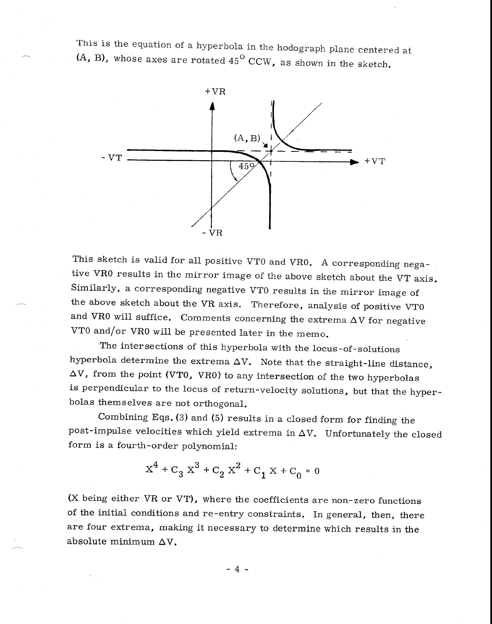This is the equation of a hyperbola in the hodograph plane centered at  $(A, B)$ , whose axes are rotated  $45^{\circ}$  CCW, as shown in the sketch.



This sketch is valid for all positive VTO and VRO. A corresponding negative VRO results in the mirror image of the above sketch about the VT axis. Similarly, a corresponding negative VTO results in the mirror image of the above sketch about the VR axis. Therefore, analysis of positive VTO and VR0 will suffice. Comments concerning the extrema  $\Delta V$  for negative VTO and/or VRO will be presented later in the memo.

The intersections of this hyperbola with the locus-of-solutions hyperbola determine the extrema  $\Delta V$ . Note that the straight-line distance,  $\Delta V$ , from the point (VT0, VR0) to any intersection of the two hyperbolas is perpendicular to the locus of return-velocity solutions, but that the hyperbolas themselves are not orthogonal.

Combining Eqs. (3) and (5) results in a closed form for finding the post-impulse velocities which yield extrema in  $\Delta V$ . Unfortunately the closed form is a fourth-order polynomial:

$$
x^{4} + c_{3} x^{3} + c_{2} x^{2} + c_{1} x + c_{0} = 0
$$

(X being either VR or VT), where the coefficients are non-zero functions of the initial conditions and re-entry constraints. In general, then, there are four extrema, making it necessary to determine which results in the absolute minimum  $\Delta V$ .

 $-4-$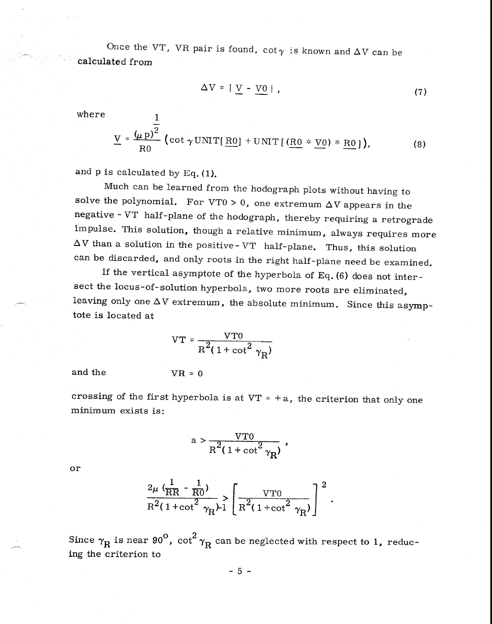Once the VT, VR pair is found,  $\cot \gamma$  is known and  $\Delta V$  can be calculated from

$$
\Delta V = |V - V_0| \tag{7}
$$

where  $1$ 

$$
\underline{V} = \frac{(\mu p)^{\frac{1}{2}}}{R0} \left( \cot \gamma \text{UNIT}[\underline{R0}] + \text{UNIT}[(\underline{R0} * \underline{V0}) * \underline{R0}]\right),
$$
 (8)

and p is calculated by Eq. (1).

Much can be learned from the hodograph plots without having to solve the polynomial. For VTO > 0, one extremum  $\Delta V$  appears in the negative - VT half-plane of the hodograph, thereby requiring a retrograde impulse. This solution, though a relative minimum, always requires more  $\Delta V$  than a solution in the positive-VT half-plane. Thus, this solution can be discarded, and only roots in the right half-plane need be examined.

If the vertical asymptote of the hyperbola of Eq. (6) does not intersect the locus-of-solution hyperbola, two more roots are eliminated, leaving only one  $\Delta V$  extremum, the absolute minimum. Since this asymptote is located at

$$
VT = \frac{VT0}{R^2(1 + \cot^2 \gamma_R)}
$$

and the

$$
VR = 0
$$

crossing of the first hyperbola is at  $VT = +a$ , the criterion that only one minimum exists is:

$$
\mathrm{a}>\frac{\mathrm{VT0}}{\mathrm{R}^2(1+\cot^2\gamma_\mathrm{R})}\;,
$$

or

$$
\frac{2\mu \left(\frac{1}{\text{RR}} - \frac{1}{\text{R0}}\right)}{\text{R}^2 (1 + \cot^2 \gamma_{\text{R}})^{-1}} \left[ \frac{\text{VTO}}{\text{R}^2 (1 + \cot^2 \gamma_{\text{R}})} \right]^2
$$

Since  $\gamma_{\rm R}$  is near 90 $^{\rm O}$ , cot $^{\rm 2}$   $\gamma_{\rm R}$  can be neglected with respect to 1, reducing the criterion to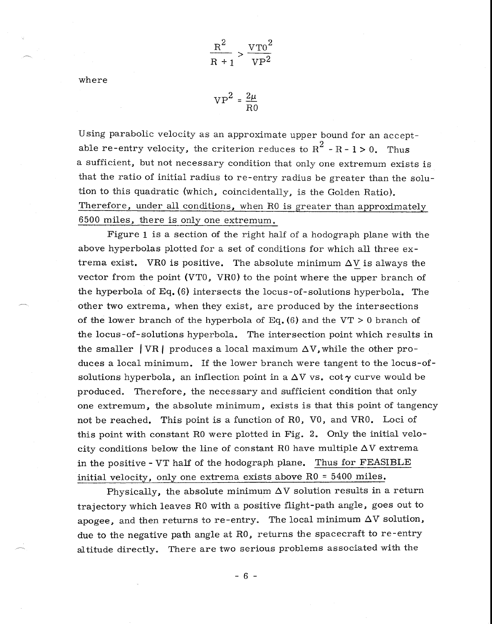$$
\frac{R^2}{R+1} > \frac{VT0^2}{VP^2}
$$

where

$$
VP^2 = \frac{2\mu}{R0}
$$

Using parabolic velocity as an approximate upper bound for an acceptable re-entry velocity, the criterion reduces to  $R^2 - R - 1 > 0$ . Thus a sufficient, but not necessary condition that only one extremum exists is that the ratio of initial radius to re-entry radius be greater than the solution to this quadratic (which, coincidentally, is the Golden Ratio). Therefore, under all conditions, when R0 is greater than approximately 6500 miles, there is only one extremum.

Figure 1 is a section of the right half of a hodograph plane with the above hyperbolas plotted for a set of conditions for which all three extrema exist. VRO is positive. The absolute minimum  $\Delta V$  is always the vector from the point (VTO, VRO) to the point where the upper branch of the hyperbola of Eq. (6) intersects the locus-of-solutions hyperbola. The other two extrema, when they exist, are produced by the intersections of the lower branch of the hyperbola of Eq.  $(6)$  and the VT > 0 branch of the locus-of-solutions hyperbola. The intersection point which results in the smaller  $| \nabla R |$  produces a local maximum  $\Delta V$ , while the other produces a local minimum. If the lower branch were tangent to the locus-ofsolutions hyperbola, an inflection point in a  $\Delta V$  vs. cot  $\gamma$  curve would be produced. Therefore, the necessary and sufficient condition that only one extremum, the absolute minimum, exists is that this point of tangency not be reached. This point is a function of RO, VO, and VRO. Loci of this point with constant RO were plotted in Fig. 2. Only the initial velocity conditions below the line of constant R0 have multiple  $\Delta V$  extrema in the positive - VT half of the hodograph plane. Thus for FEASIBLE initial velocity, only one extrema exists above RO = 5400 miles.

Physically, the absolute minimum  $\Delta V$  solution results in a return trajectory which leaves RO with a positive flight-path angle, goes out to apogee, and then returns to re-entry. The local minimum  $\Delta V$  solution, due to the negative path angle at RO, returns the spacecraft to re-entry altitude directly. There are two serious problems associated with the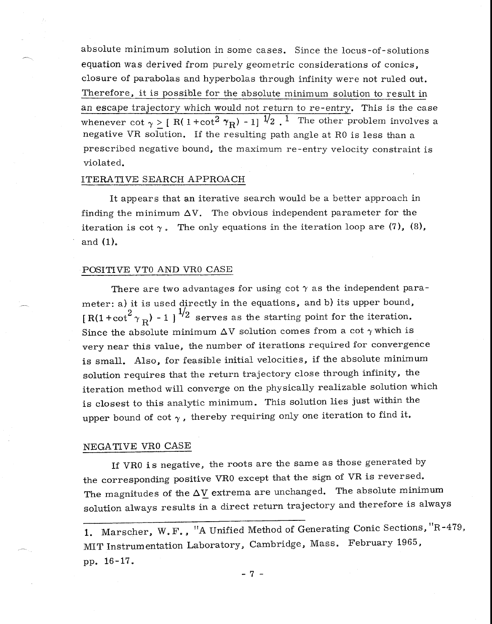absolute minimum solution in some cases. Since the locus-of-solutions equation was derived from purely geometric considerations of conics, closure of parabolas and hyperbolas through infinity were not ruled out. Therefore, it is possible for the absolute minimum solution to result in an escape trajectory which would not return to re-entry. This is the case whenever cot  $\gamma > [ R( 1 + \cot^2 \gamma_R) - 1 ]^{1/2}$ . The other problem involves a negative VR solution. If the resulting path angle at RO is less than a prescribed negative bound, the maximum re-entry velocity constraint is violated.

### ITERATIVE SEARCH APPROACH

It appears that an iterative search would be a better approach in finding the minimum  $\Delta V$ . The obvious independent parameter for the iteration is cot  $\gamma$ . The only equations in the iteration loop are (7), (8), and (1).

### POSITIVE VTO AND VRO CASE

There are two advantages for using cot  $\gamma$  as the independent parameter: a) it is used directly in the equations, and b) its upper bound,  $[R(1 + \cot^2 \gamma_R) - 1]^{1/2}$  serves as the starting point for the iteration. Since the absolute minimum  $\Delta V$  solution comes from a cot  $\gamma$  which is very near this value, the number of iterations required for convergence is small. Also, for feasible initial velocities, if the absolute minimum solution requires that the return trajectory close through infinity, the iteration method will converge on the physically realizable solution which is closest to this analytic minimum. This solution lies just within the upper bound of cot  $\gamma$ , thereby requiring only one iteration to find it.

## NEGATIVE VRO CASE

If VRO is negative, the roots are the same as those generated by the corresponding positive VRO except that the sign of VR is reversed. The magnitudes of the  $\Delta V$  extrema are unchanged. The absolute minimum solution always results in a direct return trajectory and therefore is always

- 7 -

<sup>1.</sup> Marscher, W. F. , "A Unified Method of Generating Conic Sections, "R-479, MIT Instrumentation Laboratory, Cambridge, Mass. February 1965, pp. 16-17.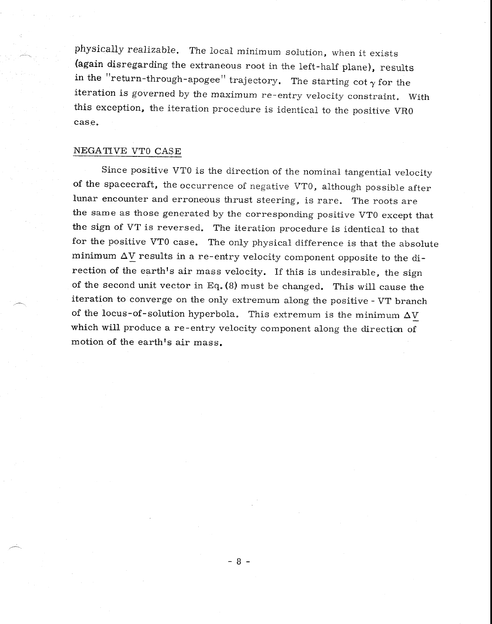physically realizable. The local minimum solution, when it exists (again disregarding the extraneous root in the left-half plane), results in the "return-through-apogee" trajectory. The starting cot  $\gamma$  for the iteration is governed by the maximum re-entry velocity constraint. With this exception, the iteration procedure is identical to the positive VRO case.

### NEGATIVE VTO CASE

Since positive VTO is the direction of the nominal tangential velocity of the spacecraft, the occurrence of negative VTO, although possible after lunar encounter and erroneous thrust steering, is rare. The roots are the same as those generated by the corresponding positive VTO except that the sign of VT is reversed. The iteration procedure is identical to that for the positive VTO case. The only physical difference is that the absolute minimum AV results in a re-entry velocity component opposite to the direction of the earth's air mass velocity. If this is undesirable, the sign of the second unit vector in Eq. (8) must be changed. This will cause the iteration to converge on the only extremum along the positive - VT branch of the locus-of-solution hyperbola. This extremum is the minimum  $\Delta V$ which will produce a re-entry velocity component along the direction of motion of the earth's air mass.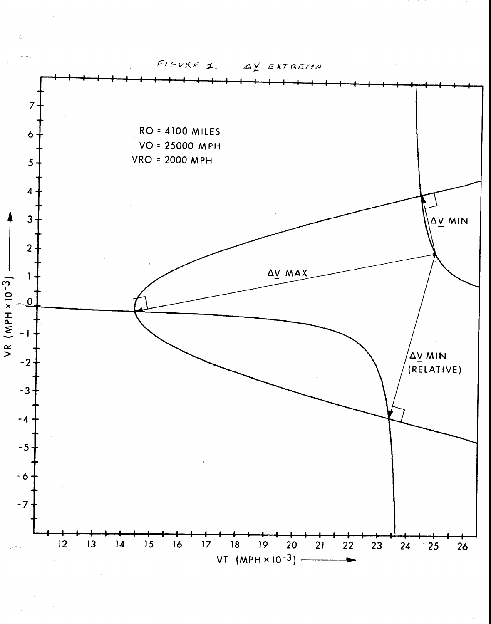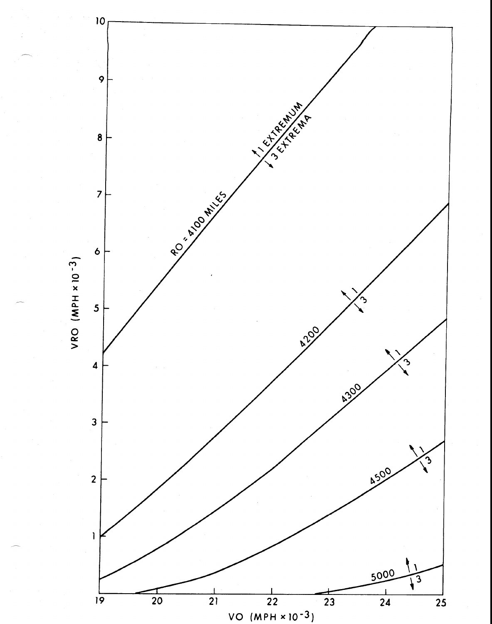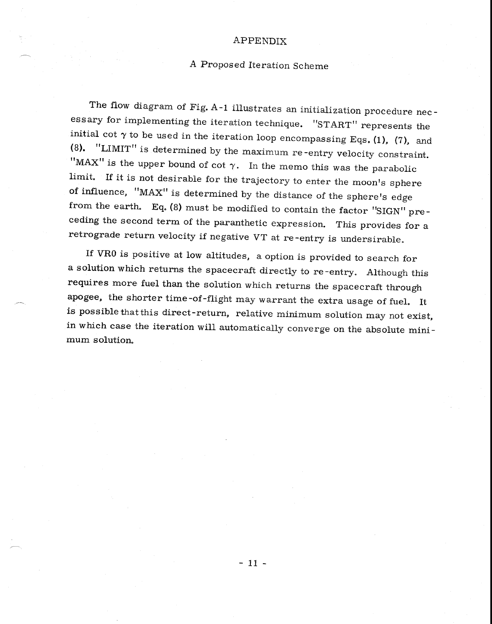### APPENDIX

# A Proposed Iteration Scheme

The flow diagram of Fig. A-1 illustrates an initialization procedure necessary for implementing the iteration technique. "START" represents the initial cot  $\gamma$  to be used in the iteration loop encompassing Eqs. (1), (7), and (8). "LIMIT" is determined by the maximum re-entry velocity constraint. "MAX" is the upper bound of cot  $\gamma$ . In the memo this was the parabolic limit. If it is not desirable for the trajectory to enter the moon's sphere of influence, "MAX" is determined by the distance of the sphere's edge from the earth. Eq. (8) must be modified to contain the factor "SIGN" preceding the second term of the paranthetic expression. This provides for a retrograde return velocity if negative VT at re-entry is undersirable.

If VRO is positive at low altitudes, a option is provided to search for a solution which returns the spacecraft directly to re-entry. Although this requires more fuel than the solution which returns the spacecraft through apogee, the shorter time-of-flight may warrant the extra usage of fuel. It is possible that this direct-return, relative minimum solution may not exist, in which case the iteration will automatically converge on the absolute minimum solution.